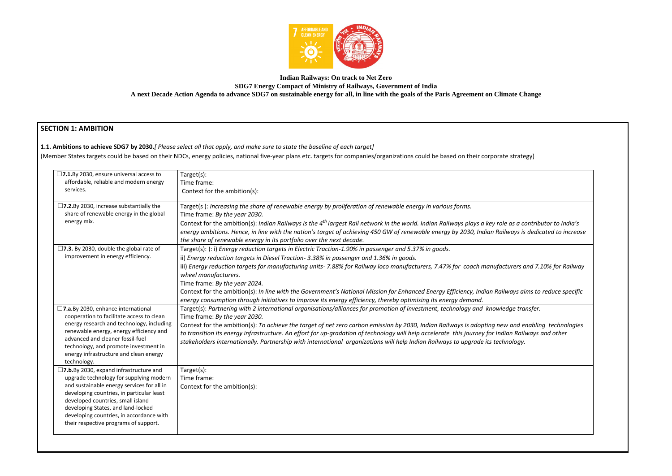

### **Indian Railways: On track to Net Zero SDG7 Energy Compact of Ministry of Railways, Government of India A next Decade Action Agenda to advance SDG7 on sustainable energy for all, in line with the goals of the Paris Agreement on Climate Change**

# **SECTION 1: AMBITION**

# **1.1. Ambitions to achieve SDG7 by 2030.***[ Please select all that apply, and make sure to state the baseline of each target]*

(Member States targets could be based on their NDCs, energy policies, national five-year plans etc. targets for companies/organizations could be based on their corporate strategy)

Context for the ambition(s): *Indian Railways is the 4th largest Rail network in the world. Indian Railways plays a key role as a contributor to India's energy ambitions. Hence, in line with the nation's target of achieving 450 GW of renewable energy by 2030, Indian Railways is dedicated to increase* 

iii) *Energy reduction targets for manufacturing units- 7.88% for Railway loco manufacturers, 7.47% for coach manufacturers and 7.10% for Railway* 

Context for the ambition(s): *In line with the Government's National Mission for Enhanced Energy Efficiency, Indian Railways aims to reduce specific* 

| $\square$ 7.1.By 2030, ensure universal access to                                                                                                                                                                                                       | Target(s):                                                                                                                                                                                                                                                                                                                                                                                                          |
|---------------------------------------------------------------------------------------------------------------------------------------------------------------------------------------------------------------------------------------------------------|---------------------------------------------------------------------------------------------------------------------------------------------------------------------------------------------------------------------------------------------------------------------------------------------------------------------------------------------------------------------------------------------------------------------|
| affordable, reliable and modern energy                                                                                                                                                                                                                  | Time frame:                                                                                                                                                                                                                                                                                                                                                                                                         |
| services.                                                                                                                                                                                                                                               | Context for the ambition(s):                                                                                                                                                                                                                                                                                                                                                                                        |
| $\square$ 7.2.By 2030, increase substantially the<br>share of renewable energy in the global                                                                                                                                                            | Target(s): Increasing the share of renewable energy by proliferation of renewable energy in various forms.                                                                                                                                                                                                                                                                                                          |
| energy mix.                                                                                                                                                                                                                                             | Time frame: By the year 2030.                                                                                                                                                                                                                                                                                                                                                                                       |
|                                                                                                                                                                                                                                                         | Context for the ambition(s): Indian Railways is the 4 <sup>th</sup> largest Rail network in the world. Indian Railways plays a key role as a contribi<br>energy ambitions. Hence, in line with the nation's target of achieving 450 GW of renewable energy by 2030, Indian Railways is dedic<br>the share of renewable energy in its portfolio over the next decade.                                                |
| $\square$ 7.3. By 2030, double the global rate of                                                                                                                                                                                                       | Target(s): ): i) Energy reduction targets in Electric Traction-1.90% in passenger and 5.37% in goods.                                                                                                                                                                                                                                                                                                               |
| improvement in energy efficiency.                                                                                                                                                                                                                       | ii) Energy reduction targets in Diesel Traction- 3.38% in passenger and 1.36% in goods.                                                                                                                                                                                                                                                                                                                             |
|                                                                                                                                                                                                                                                         | iii) Energy reduction targets for manufacturing units- 7.88% for Railway loco manufacturers, 7.47% for coach manufacturers and 7.1<br>wheel manufacturers.                                                                                                                                                                                                                                                          |
|                                                                                                                                                                                                                                                         | Time frame: By the year 2024.                                                                                                                                                                                                                                                                                                                                                                                       |
|                                                                                                                                                                                                                                                         | Context for the ambition(s): In line with the Government's National Mission for Enhanced Energy Efficiency, Indian Railways aims to<br>energy consumption through initiatives to improve its energy efficiency, thereby optimising its energy demand.                                                                                                                                                               |
| $\square$ 7.a.By 2030, enhance international<br>cooperation to facilitate access to clean                                                                                                                                                               | Target(s): Partnering with 2 international organisations/alliances for promotion of investment, technology and knowledge transfer.<br>Time frame: By the year 2030.                                                                                                                                                                                                                                                 |
| energy research and technology, including<br>renewable energy, energy efficiency and<br>advanced and cleaner fossil-fuel<br>technology, and promote investment in<br>energy infrastructure and clean energy<br>technology.                              | Context for the ambition(s): To achieve the target of net zero carbon emission by 2030, Indian Railways is adopting new and enablin<br>to transition its energy infrastructure. An effort for up-gradation of technology will help accelerate this journey for Indian Railways o<br>stakeholders internationally. Partnership with international organizations will help Indian Railways to upgrade its technology. |
| $\square$ 7.b.By 2030, expand infrastructure and<br>upgrade technology for supplying modern                                                                                                                                                             | Target(s):<br>Time frame:                                                                                                                                                                                                                                                                                                                                                                                           |
| and sustainable energy services for all in<br>developing countries, in particular least<br>developed countries, small island<br>developing States, and land-locked<br>developing countries, in accordance with<br>their respective programs of support. | Context for the ambition(s):                                                                                                                                                                                                                                                                                                                                                                                        |
|                                                                                                                                                                                                                                                         |                                                                                                                                                                                                                                                                                                                                                                                                                     |

Context for the ambition(s): *To achieve the target of net zero carbon emission by 2030, Indian Railways is adopting new and enabling technologies to transition its energy infrastructure. An effort for up-gradation of technology will help accelerate this journey for Indian Railways and other*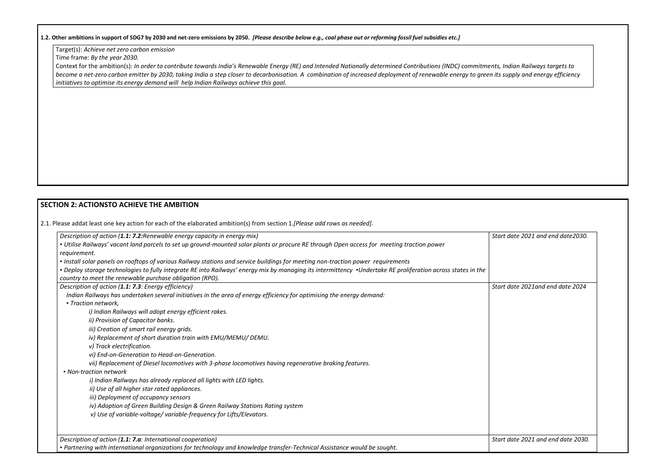### **1.2. Other ambitions in support of SDG7 by 2030 and net-zero emissions by 2050.** *[Please describe below e.g., coal phase out or reforming fossil fuel subsidies etc.]*

Target(s): *Achieve net zero carbon emission* 

Time frame: *By the year 2030.* 

Context for the ambition(s): *In order to contribute towards India's Renewable Energy (RE) and Intended Nationally determined Contributions (INDC) commitments, Indian Railways targets to become a net-zero carbon emitter by 2030, taking India a step closer to decarbonisation. A combination of increased deployment of renewable energy to green its supply and energy efficiency initiatives to optimise its energy demand will help Indian Railways achieve this goal.*

| Description of action (1.1: 7.2: Renewable energy capacity in energy mix)                                                                                                                                                | Start date 2021 and end date 2030. |
|--------------------------------------------------------------------------------------------------------------------------------------------------------------------------------------------------------------------------|------------------------------------|
| • Utilise Railways' vacant land parcels to set up ground-mounted solar plants or procure RE through Open access for meeting traction power                                                                               |                                    |
| requirement.                                                                                                                                                                                                             |                                    |
| • Install solar panels on rooftops of various Railway stations and service buildings for meeting non-traction power requirements                                                                                         |                                    |
| • Deploy storage technologies to fully integrate RE into Railways' energy mix by managing its intermittency •Undertake RE proliferation across states in the<br>country to meet the renewable purchase obligation (RPO). |                                    |
| Description of action (1.1: 7.3: Energy efficiency)                                                                                                                                                                      | Start date 2021and end date 2024   |
| Indian Railways has undertaken several initiatives in the area of energy efficiency for optimising the energy demand:                                                                                                    |                                    |
| • Traction network,                                                                                                                                                                                                      |                                    |
| i) Indian Railways will adopt energy efficient rakes.                                                                                                                                                                    |                                    |
| ii) Provision of Capacitor banks.                                                                                                                                                                                        |                                    |
| iii) Creation of smart rail energy grids.                                                                                                                                                                                |                                    |
| iv) Replacement of short duration train with EMU/MEMU/ DEMU.                                                                                                                                                             |                                    |
| v) Track electrification.                                                                                                                                                                                                |                                    |
| vi) End-on-Generation to Head-on-Generation.                                                                                                                                                                             |                                    |
| vii) Replacement of Diesel locomotives with 3-phase locomotives having regenerative braking features.                                                                                                                    |                                    |
| • Non-traction network                                                                                                                                                                                                   |                                    |
| i) Indian Railways has already replaced all lights with LED lights.                                                                                                                                                      |                                    |
| ii) Use of all higher star rated appliances.                                                                                                                                                                             |                                    |
| iii) Deployment of occupancy sensors                                                                                                                                                                                     |                                    |
| iv) Adoption of Green Building Design & Green Railway Stations Rating system                                                                                                                                             |                                    |
| v) Use of variable-voltage/variable-frequency for Lifts/Elevators.                                                                                                                                                       |                                    |
| Description of action (1.1: 7.a: International cooperation)<br>• Partnering with international organizations for technology and knowledge transfer-Technical Assistance would be sought.                                 | Start date 2021 and end date 2030. |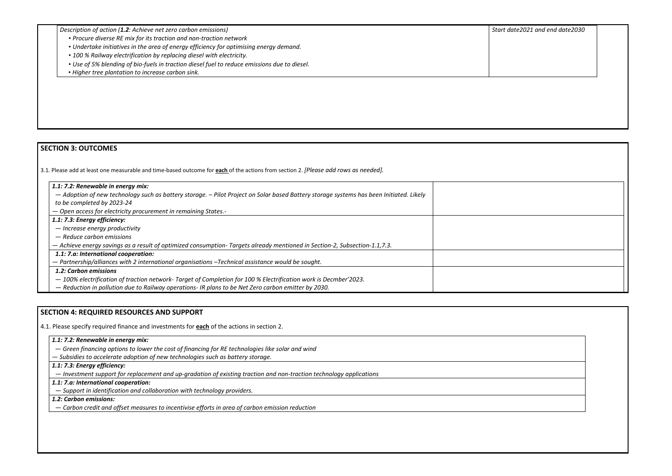| Description of action (1.2: Achieve net zero carbon emissions)                               | Start c |
|----------------------------------------------------------------------------------------------|---------|
| • Procure diverse RE mix for its traction and non-traction network                           |         |
| • Undertake initiatives in the area of energy efficiency for optimising energy demand.       |         |
| • 100 % Railway electrification by replacing diesel with electricity.                        |         |
| • Use of 5% blending of bio-fuels in traction diesel fuel to reduce emissions due to diesel. |         |
| • Higher tree plantation to increase carbon sink.                                            |         |

| Start date2021 and end date2030 |  |  |
|---------------------------------|--|--|
|                                 |  |  |
|                                 |  |  |
|                                 |  |  |
|                                 |  |  |
|                                 |  |  |
|                                 |  |  |
|                                 |  |  |
|                                 |  |  |
|                                 |  |  |
|                                 |  |  |
|                                 |  |  |
|                                 |  |  |
|                                 |  |  |
|                                 |  |  |
|                                 |  |  |
|                                 |  |  |
|                                 |  |  |
|                                 |  |  |
|                                 |  |  |
|                                 |  |  |
|                                 |  |  |
|                                 |  |  |
|                                 |  |  |
|                                 |  |  |
|                                 |  |  |
|                                 |  |  |
|                                 |  |  |
|                                 |  |  |
|                                 |  |  |
|                                 |  |  |
|                                 |  |  |
|                                 |  |  |
|                                 |  |  |
|                                 |  |  |
|                                 |  |  |
|                                 |  |  |
|                                 |  |  |
|                                 |  |  |
|                                 |  |  |
|                                 |  |  |
|                                 |  |  |
|                                 |  |  |
|                                 |  |  |
|                                 |  |  |
|                                 |  |  |
|                                 |  |  |
|                                 |  |  |

# **SECTION 3: OUTCOMES**

3.1*.* Please add at least one measurable and time-based outcome for **each** of the actions from section 2. *[Please add rows as needed].*

| 1.1: 7.2: Renewable in energy mix:                                                                                                      |  |
|-----------------------------------------------------------------------------------------------------------------------------------------|--|
| - Adoption of new technology such as battery storage. - Pilot Project on Solar based Battery storage systems has been Initiated. Likely |  |
| to be completed by 2023-24                                                                                                              |  |
| - Open access for electricity procurement in remaining States.-                                                                         |  |
| 1.1: 7.3: Energy efficiency:                                                                                                            |  |
| - Increase energy productivity                                                                                                          |  |
| $-$ Reduce carbon emissions                                                                                                             |  |
| - Achieve energy savings as a result of optimized consumption-Targets already mentioned in Section-2, Subsection-1.1,7.3.               |  |
| 1.1: 7.a: International cooperation:                                                                                                    |  |
| $-$ Partnership/alliances with 2 international organisations $-$ Technical assistance would be sought.                                  |  |
| 1.2: Carbon emissions                                                                                                                   |  |
| - 100% electrification of traction network- Target of Completion for 100 % Electrification work is Decmber'2023.                        |  |
| - Reduction in pollution due to Railway operations- IR plans to be Net Zero carbon emitter by 2030.                                     |  |

## **SECTION 4: REQUIRED RESOURCES AND SUPPORT**

4.1. Please specify required finance and investments for **each** of the actions in section 2.

- *1.1: 7.2: Renewable in energy mix:*
- *Green financing options to lower the cost of financing for RE technologies like solar and wind*

— *Subsidies to accelerate adoption of new technologies such as battery storage.*

*1.1: 7.3: Energy efficiency:* 

— *Investment support for replacement and up-gradation of existing traction and non-traction technology applications*

# *1.1: 7.a: International cooperation:*

— *Support in identification and collaboration with technology providers.*

# *1.2: Carbon emissions:*

— *Carbon credit and offset measures to incentivise efforts in area of carbon emission reduction*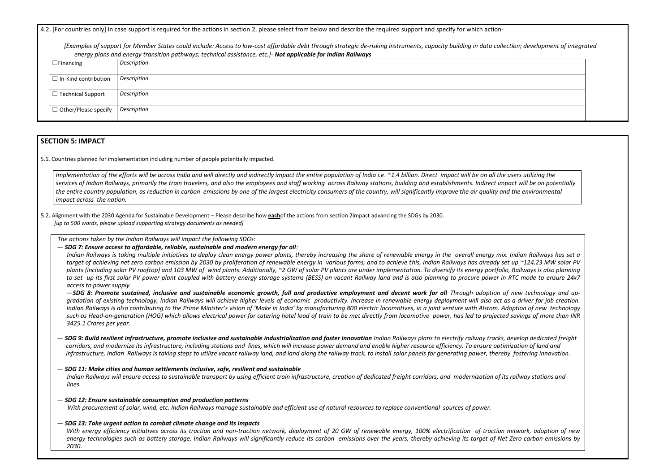4.2. [For countries only] In case support is required for the actions in section 2, please select from below and describe the required support and specify for which action-

*[Examples of support for Member States could include: Access to low-cost affordable debt through strategic de-risking instruments, capacity building in data collection; development of integrated energy plans and energy transition pathways; technical assistance, etc.]- Not applicable for Indian Railways* 

| encryp plans and energy transition pathways, technical assistance, etc. <sub>1</sub> was applicante for maiam namivays |             |
|------------------------------------------------------------------------------------------------------------------------|-------------|
| $\Box$ Financing                                                                                                       | Description |
| $\square$ In-Kind contribution                                                                                         | Description |
| $\Box$ Technical Support                                                                                               | Description |
| $\Box$ Other/Please specify                                                                                            | Description |

### **SECTION 5: IMPACT**

Implementation of the efforts will be across India and will directly and indirectly impact the entire population of India i.e. ~1.4 billion. Direct impact will be on all the users utilizing the services of Indian Railways, primarily the train travelers, and also the employees and staff working across Railway stations, building and establishments. Indirect impact will be on potentially *the entire country population, as reduction in carbon emissions by one of the largest electricity consumers of the country, will significantly improve the air quality and the environmental impact across the nation.*

5.1. Countries planned for implementation including number of people potentially impacted.

5.2. Alignment with the 2030 Agenda for Sustainable Development – Please describe how **each**of the actions from section 2impact advancing the SDGs by 2030. *[up to 500 words, please upload supporting strategy documents as needed]* 

*The actions taken by the Indian Railways will impact the following SDGs:* 

-SDG 8: Promote sustained, inclusive and sustainable economic growth, full and productive employment and decent work for all Through adoption of new technology and up*gradation of existing technology, Indian Railways will achieve higher levels of economic productivity. Increase in renewable energy deployment will also act as a driver for job creation.*  Indian Railways is also contributing to the Prime Minister's vision of 'Make in India' by manufacturing 800 electric locomotives, in a joint venture with Alstom. Adoption of new technology *such as Head-on-generation (HOG) which allows electrical power for catering hotel load of train to be met directly from locomotive power, has led to projected savings of more than INR 3425.1 Crores per year.* 

— *SDG 7: Ensure access to affordable, reliable, sustainable and modern energy for all:* 

*Indian Railways is taking multiple initiatives to deploy clean energy power plants, thereby increasing the share of renewable energy in the overall energy mix. Indian Railways has set a target of achieving net zero carbon emission by 2030 by proliferation of renewable energy in various forms, and to achieve this, Indian Railways has already set up ~124.23 MW solar PV plants (including solar PV rooftop) and 103 MW of wind plants. Additionally, ~2 GW of solar PV plants are under implementation. To diversify its energy portfolio, Railways is also planning to set up its first solar PV power plant coupled with battery energy storage systems (BESS) on vacant Railway land and is also planning to procure power in RTC mode to ensure 24x7 access to power supply.* 

- $-$  SDG 9: Build resilient infrastructure, promote inclusive and sustainable industrialization and foster innovation *Indian Railways plans to electrify railway tracks, develop dedicated freight corridors, and modernize its infrastructure, including stations and lines, which will increase power demand and enable higher resource efficiency. To ensure optimization of land and*  infrastructure, Indian Railways is taking steps to utilize vacant railway land, and land along the railway track, to install solar panels for generating power, thereby fostering innovation.
- *SDG 11: Make cities and human settlements inclusive, safe, resilient and sustainable Indian Railways will ensure access to sustainable transport by using efficient train infrastructure, creation of dedicated freight corridors, and modernization of its railway stations and lines.*
- *SDG 12: Ensure sustainable consumption and production patterns With procurement of solar, wind, etc. Indian Railways manage sustainable and efficient use of natural resources to replace conventional sources of power.*
- *SDG 13: Take urgent action to combat climate change and its impacts*

*With energy efficiency initiatives across its traction and non-traction network, deployment of 20 GW of renewable energy, 100% electrification of traction network, adoption of new energy technologies such as battery storage, Indian Railways will significantly reduce its carbon emissions over the years, thereby achieving its target of Net Zero carbon emissions by 2030.*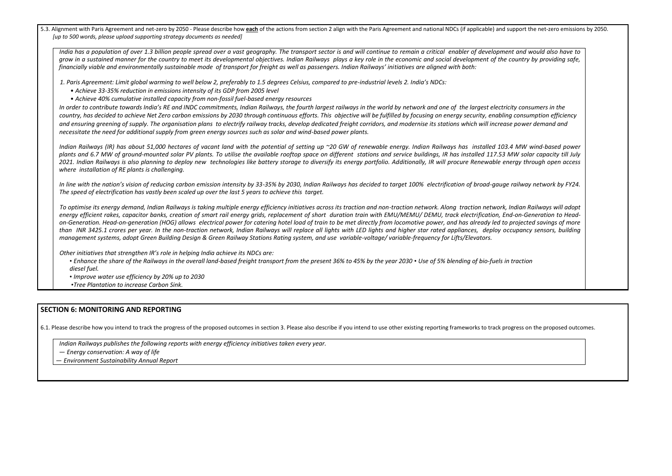5.3. Alignment with Paris Agreement and net-zero by 2050 - Please describe how each of the actions from section 2 align with the Paris Agreement and national NDCs (if applicable) and *[up to 500 words, please upload supporting strategy documents as needed]* 

*India has a population of over 1.3 billion people spread over a vast geography. The transport sector is and will continue to remain a critical enabler of developme grow in a sustained manner for the country to meet its developmental objectives. Indian Railways plays a key role in the economic and social development of the financially viable and environmentally sustainable mode of transport for freight as well as passengers. Indian Railways' initiatives are aligned with both:* 

*1. Paris Agreement: Limit global warming to well below 2, preferably to 1.5 degrees Celsius, compared to pre-industrial levels 2. India's NDCs:* 

In order to contribute towards India's RE and INDC commitments, Indian Railways, the fourth largest railways in the world by network and one of the largest electric country, has decided to achieve Net Zero carbon emissions by 2030 through continuous efforts. This objective will be fulfilled by focusing on energy security, enablin and ensuring greening of supply. The organisation plans to electrify railway tracks, develop dedicated freight corridors, and modernise its stations which will increas *necessitate the need for additional supply from green energy sources such as solar and wind-based power plants.* 

- *Achieve 33-35% reduction in emissions intensity of its GDP from 2005 level*
- *Achieve 40% cumulative installed capacity from non-fossil fuel-based energy resources*

Indian Railways (IR) has about 51,000 hectares of vacant land with the potential of setting up ~20 GW of renewable energy. Indian Railways has installed 103. plants and 6.7 MW of ground-mounted solar PV plants. To utilise the available rooftop space on different stations and service buildings, IR has installed 117.53 2021. Indian Railways is also planning to deploy new technologies like battery storage to diversify its energy portfolio. Additionally, IR will procure Renewable en *where installation of RE plants is challenging.* 

In line with the nation's vision of reducing carbon emission intensity by 33-35% by 2030, Indian Railways has decided to target 100% electrification of broad-gauge *The speed of electrification has vastly been scaled up over the last 5 years to achieve this target.* 

To optimise its energy demand, Indian Railways is taking multiple energy efficiency initiatives across its traction and non-traction network. Along traction network, energy efficient rakes, capacitor banks, creation of smart rail energy grids, replacement of short duration train with EMU/MEMU/ DEMU, track electrification, En on-Generation. Head-on-generation (HOG) allows electrical power for catering hotel load of train to be met directly from locomotive power, and has already led to than INR 3425.1 crores per year. In the non-traction network, Indian Railways will replace all lights with LED lights and higher star rated appliances, deploy oc *management systems, adopt Green Building Design & Green Railway Stations Rating system, and use variable-voltage/ variable-frequency for Lifts/Elevators.* 

• *Enhance the share of the Railways in the overall land-based freight transport from the present 36% to 45% by the year 2030 • Use of 5% blending of bio-fuels in diesel fuel.* 

*Other initiatives that strengthen IR's role in helping India achieve its NDCs are:* 

• *Improve water use efficiency by 20% up to 2030* 

•*Tree Plantation to increase Carbon Sink.*

### **SECTION 6: MONITORING AND REPORTING**

6.1. Please describe how you intend to track the progress of the proposed outcomes in section 3. Please also describe if you intend to use other existing reporting frameworks to track progress on the proposed outcomes.

*Indian Railways publishes the following reports with energy efficiency initiatives taken every year.* 

— *Energy conservation: A way of life* 

— *Environment Sustainability Annual Report*

| support the net-zero emissions by 2050.                                                                            |  |
|--------------------------------------------------------------------------------------------------------------------|--|
| nt and would also have to<br>country by providing safe,                                                            |  |
| city consumers in the<br>ng consumption efficiency<br>se power demand and                                          |  |
| .4 MW wind-based power<br>MW solar capacity till July<br>nergy through open access                                 |  |
| e railway network by FY24.                                                                                         |  |
| Indian Railways will adopt<br>nd-on-Generation to Head-<br>projected savings of more<br>ccupancy sensors, building |  |
| า traction                                                                                                         |  |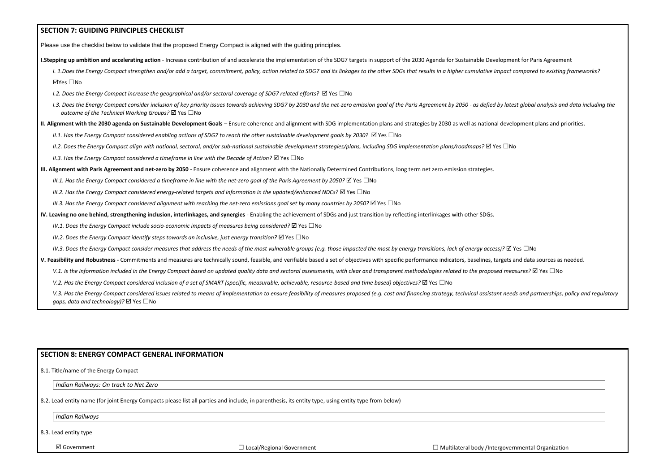| <b>SECTION 7: GUIDING PRINCIPLES CHECKLIST</b>                                                                                                                                                                                                                                    |
|-----------------------------------------------------------------------------------------------------------------------------------------------------------------------------------------------------------------------------------------------------------------------------------|
| Please use the checklist below to validate that the proposed Energy Compact is aligned with the guiding principles.                                                                                                                                                               |
| I.Stepping up ambition and accelerating action - Increase contribution of and accelerate the implementation of the SDG7 targets in support of the 2030 Agenda for Sustainable Development for Paris Agreem                                                                        |
| I. 1.Does the Energy Compact strengthen and/or add a target, commitment, policy, action related to SDG7 and its linkages to the other SDGs that results in a higher cumulative impact compared to existin                                                                         |
| ⊠Yes □No                                                                                                                                                                                                                                                                          |
| I.2. Does the Energy Compact increase the geographical and/or sectoral coverage of SDG7 related efforts? $\boxtimes$ Yes $\Box$ No                                                                                                                                                |
| I.3. Does the Energy Compact consider inclusion of key priority issues towards achieving SDG7 by 2030 and the net-zero emission goal of the Paris Agreement by 2050 - as defied by latest global analysis a<br>outcome of the Technical Working Groups? $\boxtimes$ Yes $\Box$ No |
| II. Alignment with the 2030 agenda on Sustainable Development Goals - Ensure coherence and alignment with SDG implementation plans and strategies by 2030 as well as national development plans and g                                                                             |
| II.1. Has the Energy Compact considered enabling actions of SDG7 to reach the other sustainable development goals by 2030? $\boxtimes$ Yes $\Box$ No                                                                                                                              |
| II.2. Does the Energy Compact align with national, sectoral, and/or sub-national sustainable development strategies/plans, including SDG implementation plans/roadmaps? $\boxtimes$ Yes $\Box$ No                                                                                 |
| II.3. Has the Energy Compact considered a timeframe in line with the Decade of Action? $\boxtimes$ Yes $\Box$ No                                                                                                                                                                  |
| III. Alignment with Paris Agreement and net-zero by 2050 - Ensure coherence and alignment with the Nationally Determined Contributions, long term net zero emission strategies.                                                                                                   |
| III.1. Has the Energy Compact considered a timeframe in line with the net-zero goal of the Paris Agreement by 2050? $\boxtimes$ Yes $\Box$ No                                                                                                                                     |
| III.2. Has the Energy Compact considered energy-related targets and information in the updated/enhanced NDCs? $\boxtimes$ Yes $\Box$ No                                                                                                                                           |
| III.3. Has the Energy Compact considered alignment with reaching the net-zero emissions goal set by many countries by 2050? $\boxtimes$ Yes $\Box$ No                                                                                                                             |
| IV. Leaving no one behind, strengthening inclusion, interlinkages, and synergies - Enabling the achievement of SDGs and just transition by reflecting interlinkages with other SDGs.                                                                                              |
| IV.1. Does the Energy Compact include socio-economic impacts of measures being considered? $\boxtimes$ Yes $\Box$ No                                                                                                                                                              |
| IV.2. Does the Energy Compact identify steps towards an inclusive, just energy transition? $\boxtimes$ Yes $\Box$ No                                                                                                                                                              |
| IV.3. Does the Energy Compact consider measures that address the needs of the most vulnerable groups (e.g. those impacted the most by energy transitions, lack of energy access)? $\boxtimes$ Yes $\square$ No                                                                    |
| V. Feasibility and Robustness - Commitments and measures are technically sound, feasible, and verifiable based a set of objectives with specific performance indicators, baselines, targets and data sources as                                                                   |
| V.1. Is the information included in the Energy Compact based on updated quality data and sectoral assessments, with clear and transparent methodologies related to the proposed measures? $\boxtimes$ Yes $\Box$ No                                                               |
| V.2. Has the Energy Compact considered inclusion of a set of SMART (specific, measurable, achievable, resource-based and time based) objectives? $\boxtimes$ Yes $\Box$ No                                                                                                        |
| V.3. Has the Energy Compact considered issues related to means of implementation to ensure feasibility of measures proposed (e.g. cost and financing strategy, technical assistant needs and partnerships<br>gaps, data and technology)? Ø Yes □No                                |

# **SECTION 8: ENERGY COMPACT GENERAL INFORMATION**

8.1. Title/name of the Energy Compact

*Indian Railways: On track to Net Zero*

8.2. Lead entity name (for joint Energy Compacts please list all parties and include, in parenthesis, its entity type, using entity type from below)

*Indian Railways*

8.3. Lead entity type

**I.** Accord action and accelerate the increase the increase the Increase tendent compared to existing frameworks?

test global analysis and data including the

**Elopment plans and priorities.** 

**and data sources as needed.** 

eds and partnerships, policy and regulatory

| vernmental Organization |  |
|-------------------------|--|